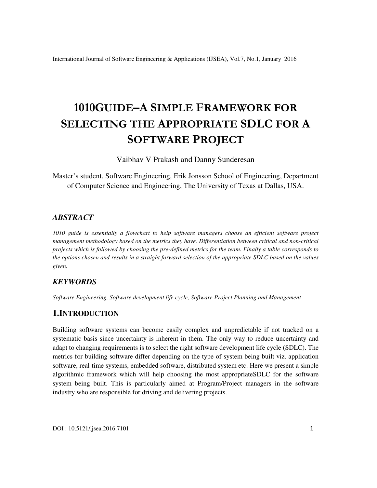# **1010GUIDE–A SIMPLE FRAMEWORK FOR SELECTING THE APPROPRIATE SDLC FOR A SOFTWARE PROJECT**

Vaibhav V Prakash and Danny Sunderesan

Master's student, Software Engineering, Erik Jonsson School of Engineering, Department of Computer Science and Engineering, The University of Texas at Dallas, USA.

## *ABSTRACT*

*1010 guide is essentially a flowchart to help software managers choose an efficient software project management methodology based on the metrics they have. Differentiation between critical and non-critical projects which is followed by choosing the pre-defined metrics for the team. Finally a table corresponds to the options chosen and results in a straight forward selection of the appropriate SDLC based on the values given.* 

## *KEYWORDS*

*Software Engineering, Software development life cycle, Software Project Planning and Management* 

## **1.INTRODUCTION**

Building software systems can become easily complex and unpredictable if not tracked on a systematic basis since uncertainty is inherent in them. The only way to reduce uncertainty and adapt to changing requirements is to select the right software development life cycle (SDLC). The metrics for building software differ depending on the type of system being built viz. application software, real-time systems, embedded software, distributed system etc. Here we present a simple algorithmic framework which will help choosing the most appropriateSDLC for the software system being built. This is particularly aimed at Program/Project managers in the software industry who are responsible for driving and delivering projects.

DOI : 10.5121/ijsea.2016.7101 1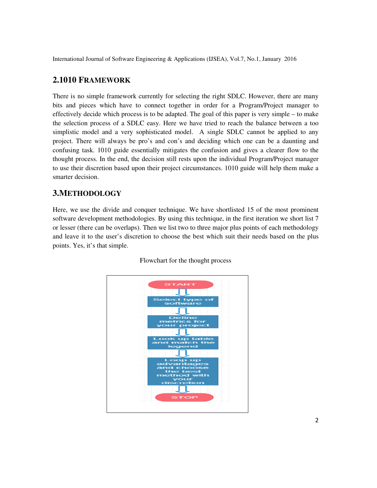#### **2.1010 FRAMEWORK**

There is no simple framework currently for selecting the right SDLC. However, there are many bits and pieces which have to connect together in order for a Program/Project manager to There is no simple framework currently for selecting the right SDLC. However, there are many<br>bits and pieces which have to connect together in order for a Program/Project manager to<br>effectively decide which process is to b the selection process of a SDLC easy. Here we have tried to reach the balance between a too simplistic model and a very sophisticated model. A single SDLC cannot be applied to any project. There will always be pro's and con's and deciding which one can be a daunting and confusing task. 1010 guide essentially mitigates the confusion and gives a clearer flow to the thought process. In the end, the decision still rests upon the individual Program/Project manager to use their discretion based upon their project circumstances. 1010 guide will help them make a smarter decision. process of a SDLC easy. Here we have tried to reach the balance between a too model and a very sophisticated model. A single SDLC cannot be applied to any here will always be pro's and con's and deciding which one can be a the gives a clearer flow to the process. In the end, the decision still rests upon the individual Program/Project manager<br>tir discretion based upon their project circumstances. 1010 guide will help them make a<br>ecision.<br>**HO** of Software Engineering & Applications (IJSEA), Vol.7, No.1, January 2016<br> **WORK**<br> **EXECUTE: EXECUTE: EXECUTE: EXECUTE: EXECUTE: EXECUTE: EXECUTE: EXECUTE: EXECUTE: EXECUTE: CONTENT: EXECUTE: CONTEN** iding which one can be a daunting<br>onfusion and gives a clearer flow to<br>the individual Program/Project man<br>ances. 1010 guide will help them mances.<br>1010 guide will help them mances.<br>we shortlisted 15 of the most prom<br>nique,

#### **3.METHODOLOGY**

Here, we use the divide and conquer technique. We have shortlisted 15 of the most prominent software development methodologies. By using this technique, in the first iteration we short list 7 or lesser (there can be overlaps). Then we list two to three major plus points of each methodology and leave it to the user's discretion to choose the best which suit their needs based on the plus points. Yes, it's that simple.



Flowchart for the thought process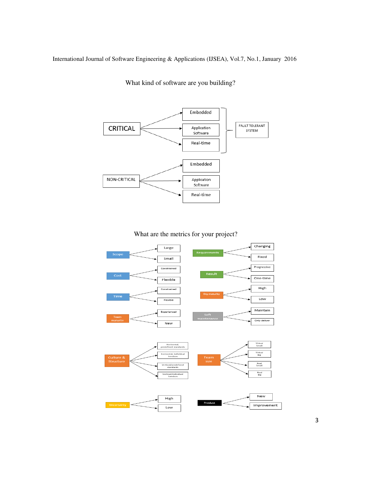

What kind of software are you building?



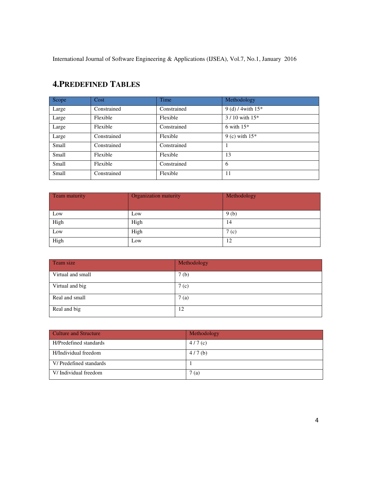| Scope | Cost        | Time        | Methodology           |
|-------|-------------|-------------|-----------------------|
| Large | Constrained | Constrained | 9 (d) $/4$ with $15*$ |
| Large | Flexible    | Flexible    | $3/10$ with $15*$     |
| Large | Flexible    | Constrained | 6 with $15*$          |
| Large | Constrained | Flexible    | 9 (c) with $15*$      |
| Small | Constrained | Constrained |                       |
| Small | Flexible    | Flexible    | 13                    |
| Small | Flexible    | Constrained | 6                     |
| Small | Constrained | Flexible    | 11                    |

# **4.PREDEFINED TABLES**

| Team maturity | Organization maturity | Methodology |
|---------------|-----------------------|-------------|
| Low           |                       |             |
|               | Low                   | 9(b)        |
| High          | High                  | 14          |
| Low           | High                  | 7 (c)       |
| High          | Low                   | 12          |

| Team size         | Methodology      |
|-------------------|------------------|
| Virtual and small | 7(b)             |
| Virtual and big   | 7 <sub>(c)</sub> |
| Real and small    | 7(a)             |
| Real and big      | 12               |

| Culture and Structure  | Methodology |
|------------------------|-------------|
| H/Predefined standards | 4/7(c)      |
| H/Individual freedom   | 4/7(b)      |
| V/Predefined standards |             |
| V/Individual freedom   | 7(a)        |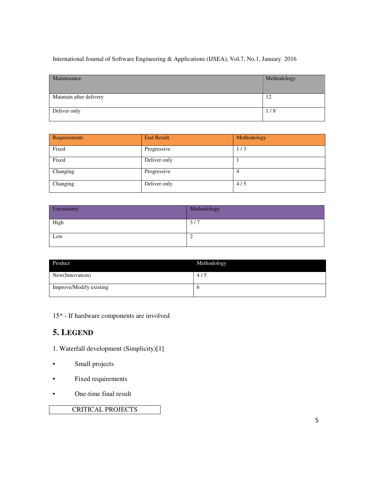| Maintenance             | Methodology |
|-------------------------|-------------|
| Maintain after delivery | 12          |
| Deliver only            | 1/8         |

| Requirements | <b>End Result</b> | Methodology |
|--------------|-------------------|-------------|
| Fixed        | Progressive       | 1/3         |
| Fixed        | Deliver only      |             |
| Changing     | Progressive       |             |
| Changing     | Deliver only      | 4/5         |

| Uncertainty | Methodology |
|-------------|-------------|
| High        | 3/7         |
| Low         | ∼           |

| Product                 | Methodology |
|-------------------------|-------------|
| New(Innovation)         | 4/5         |
| Improve/Modify existing | O           |

15\* - If hardware components are involved

# **5. LEGEND**

- 1. Waterfall development (Simplicity)[1]
- Small projects
- Fixed requirements
- One-time final result

# CRITICAL PROJECTS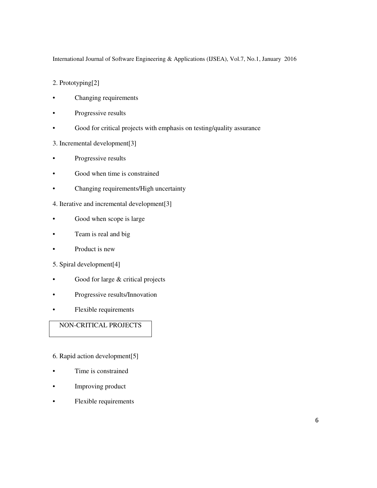2. Prototyping[2]

- Changing requirements
- Progressive results
- Good for critical projects with emphasis on testing/quality assurance
- 3. Incremental development[3]
- Progressive results
- Good when time is constrained
- Changing requirements/High uncertainty
- 4. Iterative and incremental development[3]
- Good when scope is large
- Team is real and big
- Product is new
- 5. Spiral development[4]
- Good for large & critical projects
- Progressive results/Innovation
- Flexible requirements

# NON-CRITICAL PROJECTS

- 6. Rapid action development[5]
- Time is constrained
- Improving product
- Flexible requirements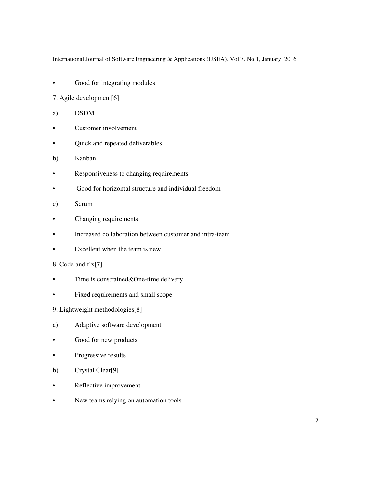- Good for integrating modules
- 7. Agile development[6]
- a) DSDM
- Customer involvement
- Quick and repeated deliverables
- b) Kanban
- Responsiveness to changing requirements
- Good for horizontal structure and individual freedom
- c) Scrum
- Changing requirements
- Increased collaboration between customer and intra-team
- Excellent when the team is new
- 8. Code and fix[7]
- Time is constrained & One-time delivery
- Fixed requirements and small scope
- 9. Lightweight methodologies[8]
- a) Adaptive software development
- Good for new products
- Progressive results
- b) Crystal Clear[9]
- Reflective improvement
- New teams relying on automation tools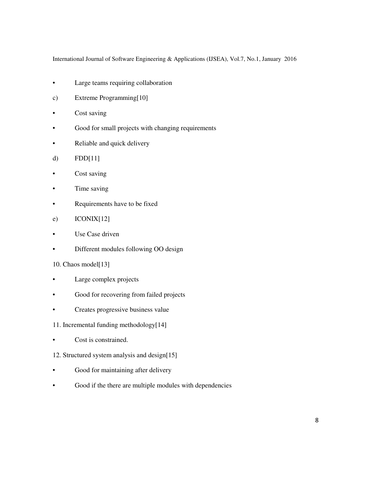- Large teams requiring collaboration
- c) Extreme Programming[10]
- Cost saving
- Good for small projects with changing requirements
- Reliable and quick delivery
- d) FDD[11]
- Cost saving
- Time saving
- Requirements have to be fixed
- e) ICONIX[12]
- Use Case driven
- Different modules following OO design
- 10. Chaos model[13]
- Large complex projects
- Good for recovering from failed projects
- Creates progressive business value
- 11. Incremental funding methodology[14]
- Cost is constrained.
- 12. Structured system analysis and design[15]
- Good for maintaining after delivery
- Good if the there are multiple modules with dependencies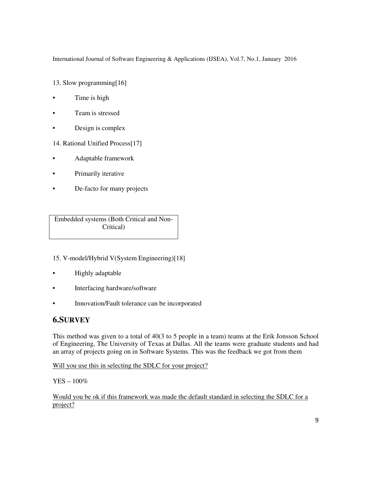13. Slow programming[16]

- Time is high
- Team is stressed
- Design is complex

14. Rational Unified Process[17]

- Adaptable framework
- Primarily iterative
- De-facto for many projects

Embedded systems (Both Critical and Non-Critical)

- 15. V-model/Hybrid V(System Engineering)[18]
- Highly adaptable
- Interfacing hardware/software
- Innovation/Fault tolerance can be incorporated

## **6.SURVEY**

This method was given to a total of 40(3 to 5 people in a team) teams at the Erik Jonsson School of Engineering, The University of Texas at Dallas. All the teams were graduate students and had an array of projects going on in Software Systems. This was the feedback we got from them

Will you use this in selecting the SDLC for your project?

YES – 100%

Would you be ok if this framework was made the default standard in selecting the SDLC for a project?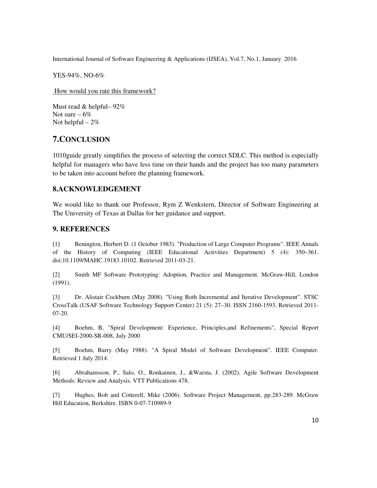YES-94%, NO-6%

How would you rate this framework?

Must read & helpful– 92% Not sure  $-6\%$ Not helpful  $-2%$ 

# **7.CONCLUSION**

1010guide greatly simplifies the process of selecting the correct SDLC. This method is especially helpful for managers who have less time on their hands and the project has too many parameters to be taken into account before the planning framework.

#### **8.ACKNOWLEDGEMENT**

We would like to thank our Professor, Rym Z Wenkstern, Director of Software Engineering at The University of Texas at Dallas for her guidance and support.

## **9. REFERENCES**

[1] Benington, Herbert D. (1 October 1983). "Production of Large Computer Programs". IEEE Annals of the History of Computing (IEEE Educational Activities Department) 5 (4): 350–361. doi:10.1109/MAHC.19183.10102. Retrieved 2011-03-21.

[2] Smith MF Software Prototyping: Adoption, Practice and Management. McGraw-Hill, London (1991).

[3] Dr. Alistair Cockburn (May 2008). "Using Both Incremental and Iterative Development". STSC CrossTalk (USAF Software Technology Support Center) 21 (5): 27–30. ISSN 2160-1593. Retrieved 2011- 07-20.

[4] Boehm, B, "Spiral Development: Experience, Principles,and Refinements", Special Report CMU/SEI-2000-SR-008, July 2000

[5] Boehm, Barry (May 1988). "A Spiral Model of Software Development". IEEE Computer. Retrieved 1 July 2014.

[6] Abrahamsson, P., Salo, O., Ronkainen, J., &Warsta, J. (2002). Agile Software Development Methods: Review and Analysis. VTT Publications 478.

[7] Hughes, Bob and Cotterell, Mike (2006). Software Project Management, pp.283-289. McGraw Hill Education, Berkshire. ISBN 0-07-710989-9